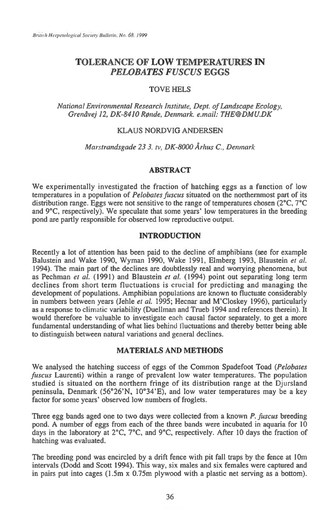# **TOLERANCE OF LOW TEMPERATURES IN**  *PELOBATES FUSCUS* **EGGS**

# TOVE HELS

*National Environmental Research Institute, Dept. of Landscape Ecology, Grenavej 12, DK-8410 ROnde, Denmark e.mail: THE@DMU.DK* 

### KLAUS NORDVIG ANDERSEN

*Marstrandsgade 23 3. tv, DK-8000 Arhus C., Denmark* 

# **ABSTRACT**

*We* experimentally investigated the fraction of hatching eggs as a function of low temperatures in a population of *Pelobates fuscus* situated on the northernmost part of its distribution range. Eggs were not sensitive to the range of temperatures chosen (2°C, 7°C and 9°C, respectively). We speculate that some years' low temperatures in the breeding pond are partly responsible for observed low reproductive output.

### **INTRODUCTION**

Recently a lot of attention has been paid to the decline of amphibians (see for example Balustein and Wake 1990, Wyman 1990, Wake 1991, Elmberg 1993, Blaustein *et al.*  1994). The main part of the declines are doubtlessly real and worrying phenomena, but as Pechman *et al.* (1991) and Blaustein *et al.* (1994) point out separating long term declines from short term fluctuations is crucial for predicting and managing the development of populations. Amphibian populations are known to fluctuate considerably in numbers between years (Jehle *et al.* 1995; Hecnar and M'Closkey 1996), particularly as a response to climatic variability (Duellman and Trueb 1994 and references therein). It would therefore be valuable to investigate each causal factor separately, to get a more fundamental understanding of what lies behind fluctuations and thereby better being able to distinguish between natural variations and general declines.

# **MATERIALS AND METHODS**

*We* analysed the hatching success of eggs of the Common Spadefoot Toad *(Pelobates fuscus* Laurenti) within a range of prevalent low water temperatures. The population studied is situated on the northern fringe of its distribution range at the Djursland peninsula, Denmark (56°26'N, 10°34'E), and low water temperatures may be a key factor for some years' observed low numbers of froglets.

Three egg bands aged one to two days were collected from a known *P. fuscus* breeding pond. A number of eggs from each of the three bands were incubated in aquaria for 10 days in the laboratory at 2°C, 7°C, and 9°C, respectively. After 10 days the fraction of hatching was evaluated.

The breeding pond was encircled by a drift fence with pit fall traps by the fence at 10m intervals (Dodd and Scott 1994). This way, six males and six females were captured and in pairs put into cages (1.5m x 0.75m plywood with a plastic net serving as a bottom).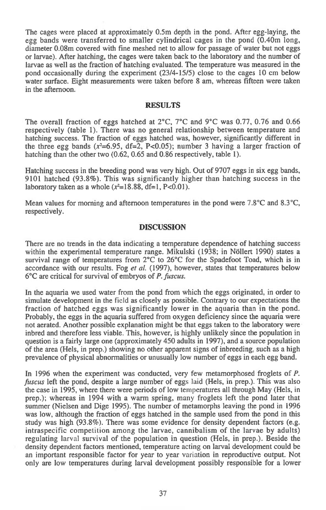The cages were placed at approximately 0.5m depth in the pond. After egg-laying, the egg bands were transferred to smaller cylindrical cages in the pond (0.40m long, diameter 0.08m covered with fine meshed net to allow for passage of water but not eggs or larvae). After hatching, the cages were taken back to the laboratory and the number of larvae as well as the fraction of hatching evaluated. The temperature was measured in the pond occasionally during the experiment (23/4-15/5) close to the cages 10 cm below water surface. Eight measurements were taken before 8 am, whereas fifteen were taken in the afternoon.

#### RESULTS

The overall fraction of eggs hatched at  $2^{\circ}C$ ,  $7^{\circ}C$  and  $9^{\circ}C$  was 0.77, 0.76 and 0.66 respectively (table 1). There was no general relationship between temperature and hatching success. The fraction of eggs hatched was, however, significantly different in the three egg bands ( $x^2$ =6.95, df=2, P<0.05); number 3 having a larger fraction of hatching than the other two (0.62, 0.65 and 0.86 respectively, table 1).

Hatching success in the breeding pond was very high. Out of 9707 eggs in six egg bands, 9101 hatched (93.8%). This was significantly higher than hatching success in the laboratory taken as a whole  $(x^2=18.88, df=1, P<0.01)$ .

Mean values for morning and afternoon temperatures in the pond were 7.8°C and 8.3°C, respectively.

#### DISCUSSION

There are no trends in the data indicating a temperature dependence of hatching success within the experimental temperature range. Mikulski (1938; in Nöllert 1990) states a survival range of temperatures from 2°C to 26°C for the Spadefoot Toad, which is in accordance with our results. Fog *et al.* (1997), however, states that temperatures below 6°C are critical for survival of embryos of *P. fuscus.* 

In the aquaria we used water from the pond from which the eggs originated, in order to simulate development in the field as closely as possible. Contrary to our expectations the fraction of hatched eggs was significantly lower in the aquaria than in the pond. Probably, the eggs in the aquaria suffered from oxygen deficiency since the aquaria were not aerated. Another possible explanation might be that eggs taken to the laboratory were inbred and therefore less viable. This, however, is highly unlikely since the population in question is a fairly large one (approximately 450 adults in 1997), and a source population of the area (Hels, in prep.) showing no other apparent signs of inbreeding, such as a high prevalence of physical abnormalities or unusually low number of eggs in each egg band.

In 1996 when the experiment was conducted, very few metamorphosed froglets of *P. fitscus* left the pond, despite a large number of eggs laid (Hels, in prep.). This was also the case in 1995, where there were periods of low temperatures all through May (Hels, in prep.); whereas in 1994 with a warm spring, many froglets left the pond later that summer (Nielsen and Dige 1995). The number of metamorphs leaving the pond in 1996 was low, although the fraction of eggs hatched in the sample used from the pond in this study was high (93.8%). There was some evidence for density dependent factors (e.g. intraspecific competition among the larvae, cannibalism of the larvae by adults) regulating larval survival of the population in question (Hels, in prep.). Beside the density dependent factors mentioned, temperature acting on larval development could be an important responsible factor for year to year variation in reproductive output. Not only are low temperatures during larval development possibly responsible for a lower